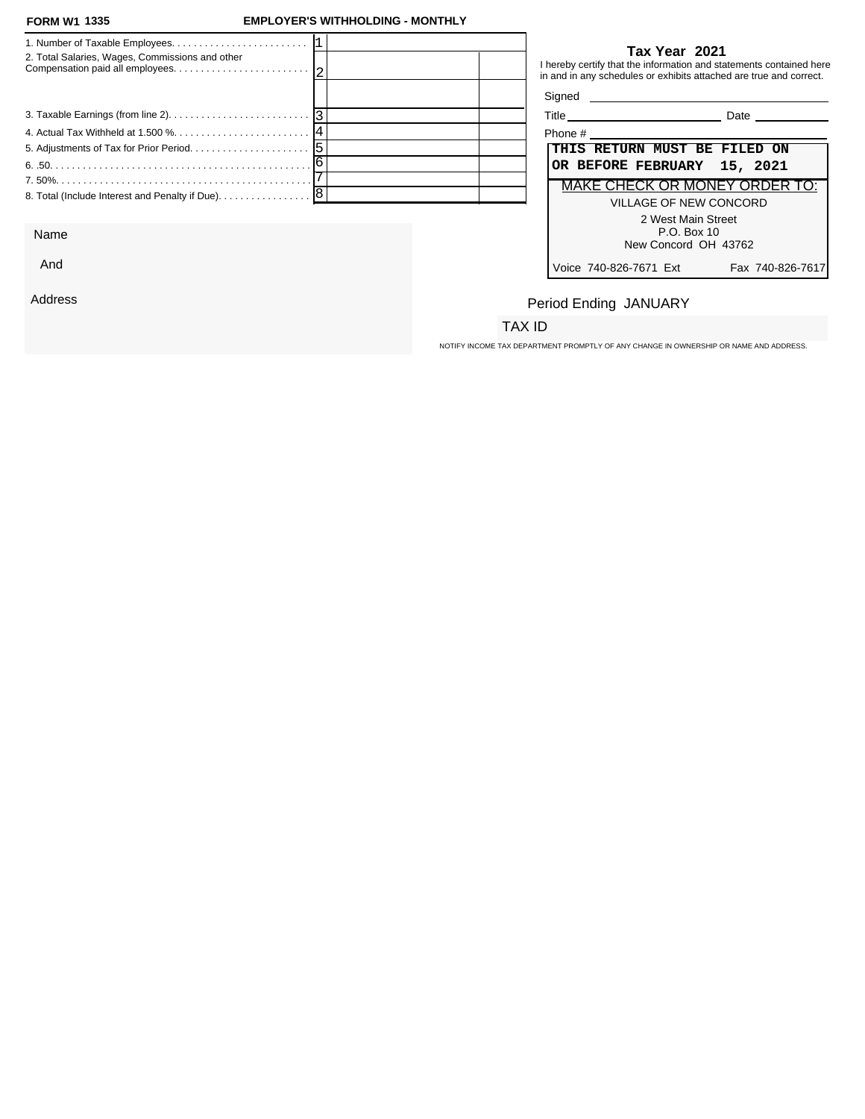### **FORM W1 EMPLOYER'S WITHHOLDING - MONTHLY**

| 2. Total Salaries, Wages, Commissions and other            |  |         | Tax Year 2021<br>I hereby certify that the information and statements contained here<br>in and in any schedules or exhibits attached are true and correct. |
|------------------------------------------------------------|--|---------|------------------------------------------------------------------------------------------------------------------------------------------------------------|
|                                                            |  |         | Signed <b>Signed</b>                                                                                                                                       |
|                                                            |  |         | Title Date Date                                                                                                                                            |
|                                                            |  | Phone # |                                                                                                                                                            |
|                                                            |  |         | THIS RETURN MUST BE FILED ON                                                                                                                               |
|                                                            |  |         | OR BEFORE FEBRUARY 15, 2021                                                                                                                                |
|                                                            |  |         | <b>MAKE CHECK OR MONEY ORDER TO:</b>                                                                                                                       |
| 8. Total (Include Interest and Penalty if Due). $\ldots$ 8 |  |         | VILLAGE OF NEW CONCORD                                                                                                                                     |
|                                                            |  |         | 2 West Main Street                                                                                                                                         |

Name

And

Address

#### **Tax Year 2021**

| Title   | Date |  |
|---------|------|--|
| Phone # |      |  |

| Phone #                             |                  |
|-------------------------------------|------------------|
| THIS RETURN MUST BE FILED ON        |                  |
| OR BEFORE FEBRUARY 15, 2021         |                  |
| MAKE CHECK OR MONEY ORDER TO:       |                  |
| VILLAGE OF NEW CONCORD              |                  |
| 2 West Main Street<br>$P.O.$ Box 10 |                  |
| New Concord OH 43762                |                  |
| Voice 740-826-7671 Ext              | Fax 740-826-7617 |

# Period Ending JANUARY

### TAX ID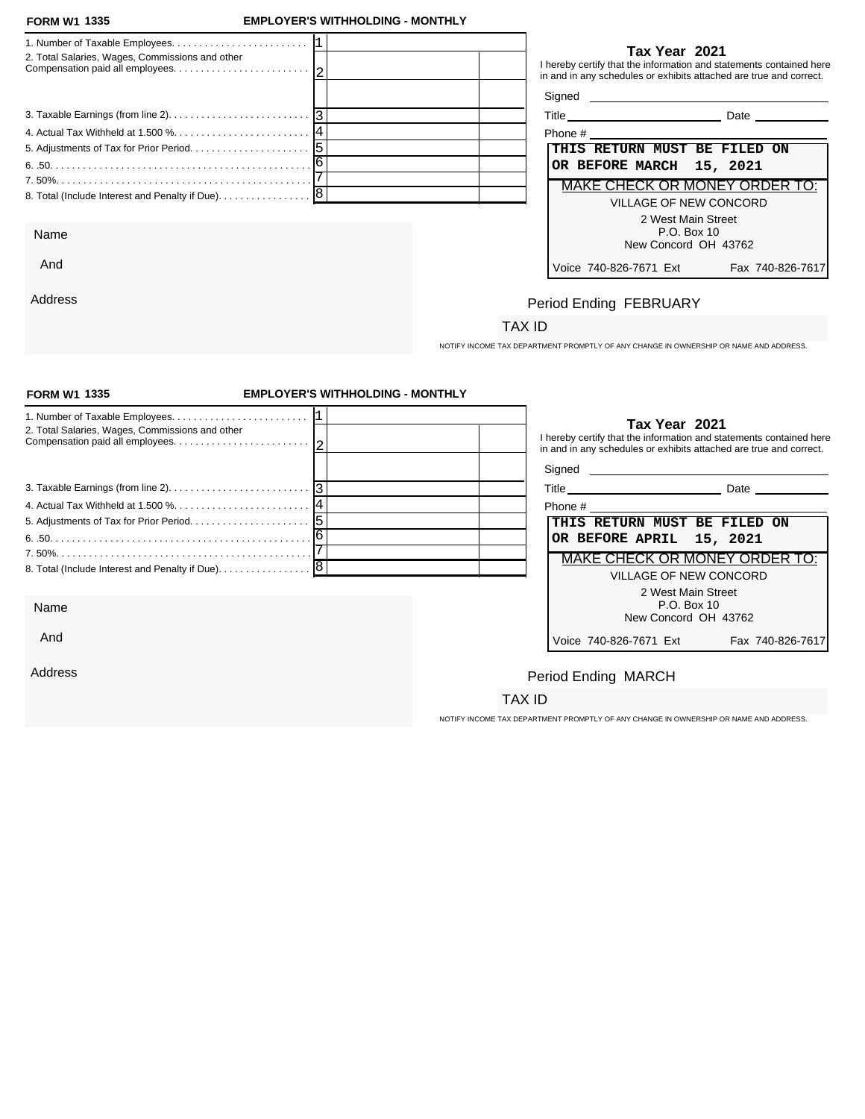And

Address

### **FORM W1 EMPLOYER'S WITHHOLDING - MONTHLY**

| 2. Total Salaries, Wages, Commissions and other                                                  | Tax Year 2021<br>I hereby certify that the information and statements contained here<br>in and in any schedules or exhibits attached are true and correct. |
|--------------------------------------------------------------------------------------------------|------------------------------------------------------------------------------------------------------------------------------------------------------------|
|                                                                                                  |                                                                                                                                                            |
| 3. Taxable Earnings (from line 2). $\ldots$ . $\ldots$ . $\ldots$ . $\ldots$ . $\lceil 3 \rceil$ | Title Date Date                                                                                                                                            |
|                                                                                                  | Phone # 2008 and 2008 and 2008 and 2008 and 2008 and 2008 and 2008 and 2008 and 2008 and 2008 and 2008 and 200                                             |
|                                                                                                  | <b>THIS RETURN MUST BE FILED ON</b>                                                                                                                        |
|                                                                                                  | OR BEFORE MARCH 15, 2021                                                                                                                                   |
|                                                                                                  | MAKE CHECK OR MONEY ORDER TO:                                                                                                                              |
|                                                                                                  | VILLAGE OF NEW CONCORD                                                                                                                                     |
|                                                                                                  | 2 West Main Street                                                                                                                                         |
| Name                                                                                             | P.O. Box 10                                                                                                                                                |
|                                                                                                  | New Concord OH 43762                                                                                                                                       |

| Phone #                              |                 |
|--------------------------------------|-----------------|
| THIS RETURN MUST BE FILED ON         |                 |
| OR BEFORE MARCH 15, 2021             |                 |
| <b>MAKE CHECK OR MONEY ORDER TO:</b> |                 |
| VILLAGE OF NEW CONCORD               |                 |
| 2 West Main Street                   |                 |
| $P.O.$ Box 10                        |                 |
| New Concord OH 43762                 |                 |
| Voice 740-826-7671 Ext               | Fax 740-826-761 |

# Period Ending FEBRUARY

## TAX ID

NOTIFY INCOME TAX DEPARTMENT PROMPTLY OF ANY CHANGE IN OWNERSHIP OR NAME AND ADDRESS.

| <b>FORM W1 1335</b>                               | <b>EMPLOYER'S WITHHOLDING - MONTHLY</b> |                                                                                                                                                            |
|---------------------------------------------------|-----------------------------------------|------------------------------------------------------------------------------------------------------------------------------------------------------------|
| 2. Total Salaries, Wages, Commissions and other   |                                         | Tax Year 2021<br>I hereby certify that the information and statements contained here<br>in and in any schedules or exhibits attached are true and correct. |
|                                                   |                                         |                                                                                                                                                            |
|                                                   |                                         |                                                                                                                                                            |
|                                                   |                                         |                                                                                                                                                            |
|                                                   |                                         | THIS RETURN MUST BE FILED ON                                                                                                                               |
|                                                   |                                         | OR BEFORE APRIL 15, 2021                                                                                                                                   |
|                                                   |                                         | MAKE CHECK OR MONEY ORDER TO:                                                                                                                              |
| 8. Total (Include Interest and Penalty if Due). 8 |                                         | VILLAGE OF NEW CONCORD                                                                                                                                     |
|                                                   |                                         | 2 West Main Street                                                                                                                                         |
| Name                                              |                                         | P.O. Box 10<br>New Concord OH 43762                                                                                                                        |
| And                                               |                                         | Voice 740-826-7671 Ext<br>Fax 740-826-7617                                                                                                                 |
| Address                                           |                                         | Period Ending MARCH                                                                                                                                        |
|                                                   |                                         | TAX ID                                                                                                                                                     |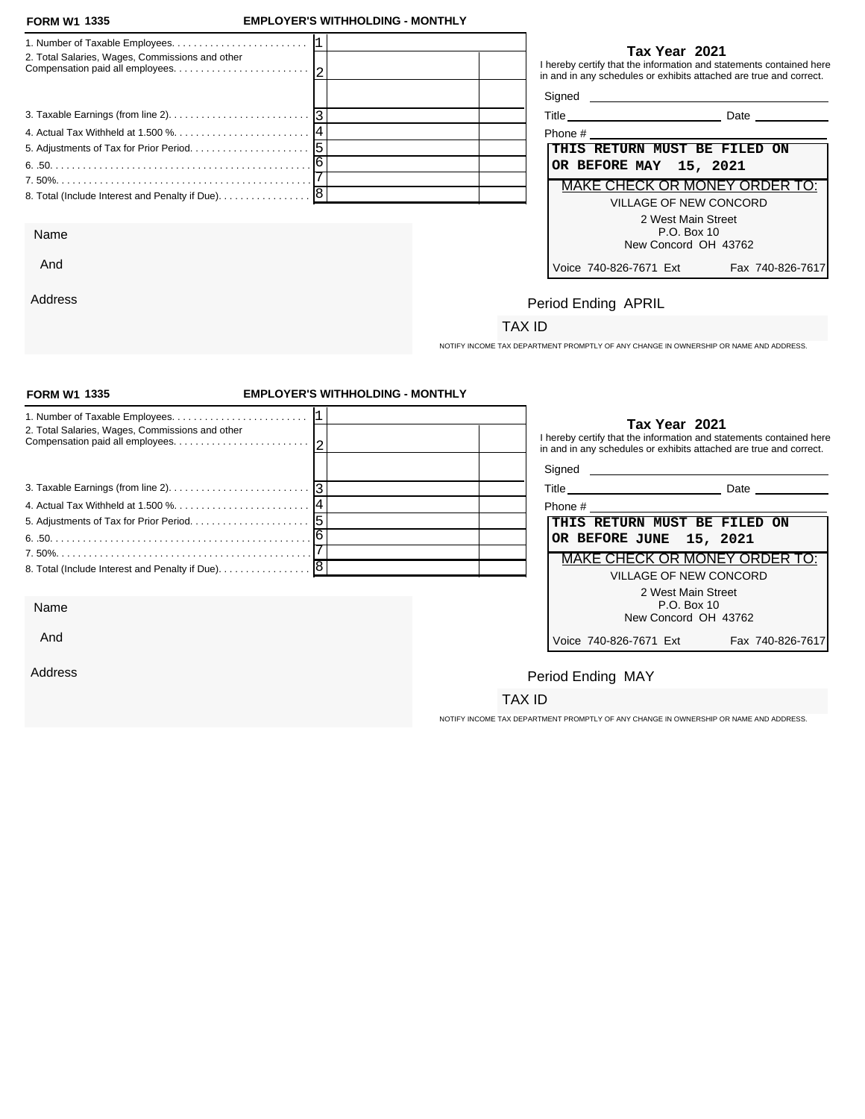And

Address

### **FORM W1 EMPLOYER'S WITHHOLDING - MONTHLY**

| 2. Total Salaries, Wages, Commissions and other                                                  | Tax Year 2021<br>I hereby certify that the information and statements contained here<br>in and in any schedules or exhibits attached are true and correct. |
|--------------------------------------------------------------------------------------------------|------------------------------------------------------------------------------------------------------------------------------------------------------------|
|                                                                                                  |                                                                                                                                                            |
| 3. Taxable Earnings (from line 2). $\ldots$ . $\ldots$ . $\ldots$ . $\ldots$ . $\lceil 3 \rceil$ | <b>Date Date</b>                                                                                                                                           |
|                                                                                                  | Phone #                                                                                                                                                    |
|                                                                                                  | THIS RETURN MUST BE FILED ON                                                                                                                               |
|                                                                                                  | OR BEFORE MAY 15, 2021                                                                                                                                     |
|                                                                                                  | MAKE CHECK OR MONEY ORDER TO:                                                                                                                              |
| 8. Total (Include Interest and Penalty if Due). 8                                                | VILLAGE OF NEW CONCORD                                                                                                                                     |
| Name                                                                                             | 2 West Main Street<br>P.O. Box 10<br>New Concord OH 43762                                                                                                  |

| Phone #                              |                  |
|--------------------------------------|------------------|
| THIS RETURN MUST BE FILED ON         |                  |
| OR BEFORE MAY 15, 2021               |                  |
| <b>MAKE CHECK OR MONEY ORDER TO:</b> |                  |
| VILLAGE OF NEW CONCORD               |                  |
| 2 West Main Street                   |                  |
| $P.O.$ Box 10                        |                  |
| New Concord OH 43762                 |                  |
| Voice 740-826-7671 Ext               | Fax 740-826-7617 |

# Period Ending APRIL

## TAX ID

NOTIFY INCOME TAX DEPARTMENT PROMPTLY OF ANY CHANGE IN OWNERSHIP OR NAME AND ADDRESS.

| <b>FORM W1 1335</b>                                                                             | <b>EMPLOYER'S WITHHOLDING - MONTHLY</b> |                                                                                                                                                            |
|-------------------------------------------------------------------------------------------------|-----------------------------------------|------------------------------------------------------------------------------------------------------------------------------------------------------------|
| 2. Total Salaries, Wages, Commissions and other                                                 |                                         | Tax Year 2021<br>I hereby certify that the information and statements contained here<br>in and in any schedules or exhibits attached are true and correct. |
|                                                                                                 |                                         |                                                                                                                                                            |
| 3. Taxable Earnings (from line 2). $\ldots$ . $\ldots$ . $\ldots$ . $\ldots$ . $\ldots$ . $ 3 $ |                                         |                                                                                                                                                            |
|                                                                                                 |                                         | Phone # 2008 2009 2012 2022 2023 2024 2022 2023 2024 2022 2023 2024 2022 2023 2024 2022 2023 2024 20                                                       |
|                                                                                                 |                                         | THIS RETURN MUST BE FILED ON                                                                                                                               |
|                                                                                                 |                                         | OR BEFORE JUNE 15, 2021                                                                                                                                    |
|                                                                                                 |                                         | <b>MAKE CHECK OR MONEY ORDER TO:</b>                                                                                                                       |
|                                                                                                 |                                         | <b>VILLAGE OF NEW CONCORD</b>                                                                                                                              |
| Name                                                                                            |                                         | 2 West Main Street<br>P.O. Box 10<br>New Concord OH 43762                                                                                                  |
| And                                                                                             |                                         | Voice 740-826-7671 Ext<br>Fax 740-826-7617                                                                                                                 |
| Address                                                                                         |                                         | Period Ending MAY                                                                                                                                          |
|                                                                                                 |                                         | TAX ID                                                                                                                                                     |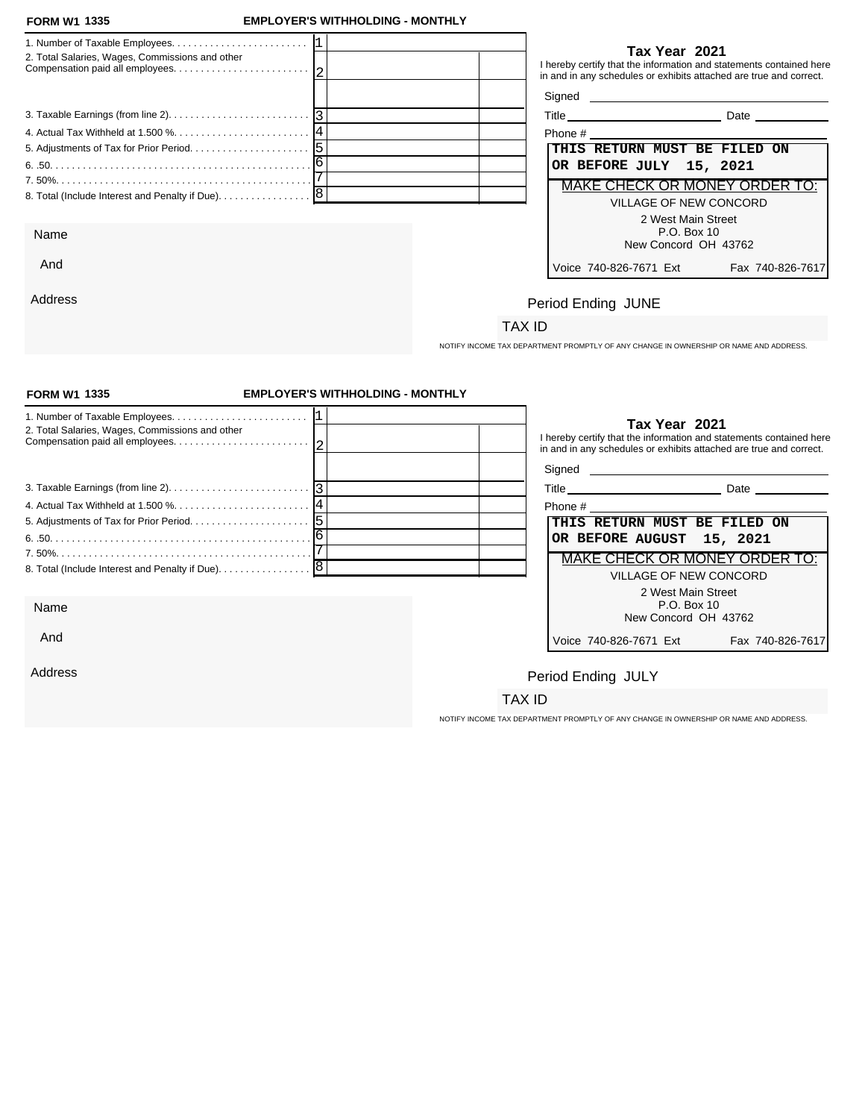Address

### **FORM W1 EMPLOYER'S WITHHOLDING - MONTHLY**

| 2. Total Salaries, Wages, Commissions and other   |                         | Tax Year 2021<br>I hereby certify that the information and statements contained here<br>in and in any schedules or exhibits attached are true and correct.                                                                           |
|---------------------------------------------------|-------------------------|--------------------------------------------------------------------------------------------------------------------------------------------------------------------------------------------------------------------------------------|
|                                                   |                         | Signed <u>example and the set of the set of the set of the set of the set of the set of the set of the set of the set of the set of the set of the set of the set of the set of the set of the set of the set of the set of the </u> |
|                                                   |                         | Title Date Date                                                                                                                                                                                                                      |
|                                                   |                         |                                                                                                                                                                                                                                      |
|                                                   |                         | THIS RETURN MUST BE FILED ON                                                                                                                                                                                                         |
|                                                   | OR BEFORE JULY 15, 2021 |                                                                                                                                                                                                                                      |
|                                                   |                         | MAKE CHECK OR MONEY ORDER TO:                                                                                                                                                                                                        |
| 8. Total (Include Interest and Penalty if Due). 8 |                         | VILLAGE OF NEW CONCORD<br>2 West Main Street                                                                                                                                                                                         |
| Name                                              |                         | P.O. Box 10<br>New Concord OH 43762                                                                                                                                                                                                  |
| And                                               | Voice 740-826-7671 Fxt  | Fax 740-826-7617                                                                                                                                                                                                                     |

| Date<br>$ \sim$ |
|-----------------|
|                 |

| Phone #                              |                 |
|--------------------------------------|-----------------|
| THIS RETURN MUST BE FILED ON         |                 |
| OR BEFORE JULY 15, 2021              |                 |
| <u>MAKE CHECK OR MONEY ORDER TO:</u> |                 |
| VILLAGE OF NEW CONCORD               |                 |
| 2 West Main Street<br>P.O. Box 10    |                 |
| New Concord OH 43762                 |                 |
| Voice 740-826-7671 Ext               | Fax 740-826-761 |

# Period Ending JUNE

## TAX ID

NOTIFY INCOME TAX DEPARTMENT PROMPTLY OF ANY CHANGE IN OWNERSHIP OR NAME AND ADDRESS.

| <b>FORM W1 1335</b>                                                                                         | <b>EMPLOYER'S WITHHOLDING - MONTHLY</b> |                                                                                                                                                            |                  |
|-------------------------------------------------------------------------------------------------------------|-----------------------------------------|------------------------------------------------------------------------------------------------------------------------------------------------------------|------------------|
| 2. Total Salaries, Wages, Commissions and other                                                             |                                         | Tax Year 2021<br>I hereby certify that the information and statements contained here<br>in and in any schedules or exhibits attached are true and correct. |                  |
|                                                                                                             |                                         |                                                                                                                                                            |                  |
| 3. Taxable Earnings (from line 2). $\ldots$ . $\ldots$ . $\ldots$ . $\ldots$ . $\ldots$ . $\lceil 3 \rceil$ |                                         | Title Date Date                                                                                                                                            |                  |
|                                                                                                             |                                         | Phone #                                                                                                                                                    |                  |
|                                                                                                             |                                         | THIS RETURN MUST BE FILED ON                                                                                                                               |                  |
|                                                                                                             |                                         | OR BEFORE AUGUST 15, 2021                                                                                                                                  |                  |
|                                                                                                             |                                         | <b>MAKE CHECK OR MONEY ORDER TO:</b>                                                                                                                       |                  |
|                                                                                                             |                                         | VILLAGE OF NEW CONCORD                                                                                                                                     |                  |
| Name                                                                                                        |                                         | 2 West Main Street<br>P.O. Box 10<br>New Concord OH 43762                                                                                                  |                  |
| And                                                                                                         |                                         | Voice 740-826-7671 Ext                                                                                                                                     | Fax 740-826-7617 |
| Address                                                                                                     |                                         | Period Ending JULY                                                                                                                                         |                  |
|                                                                                                             |                                         | TAX ID                                                                                                                                                     |                  |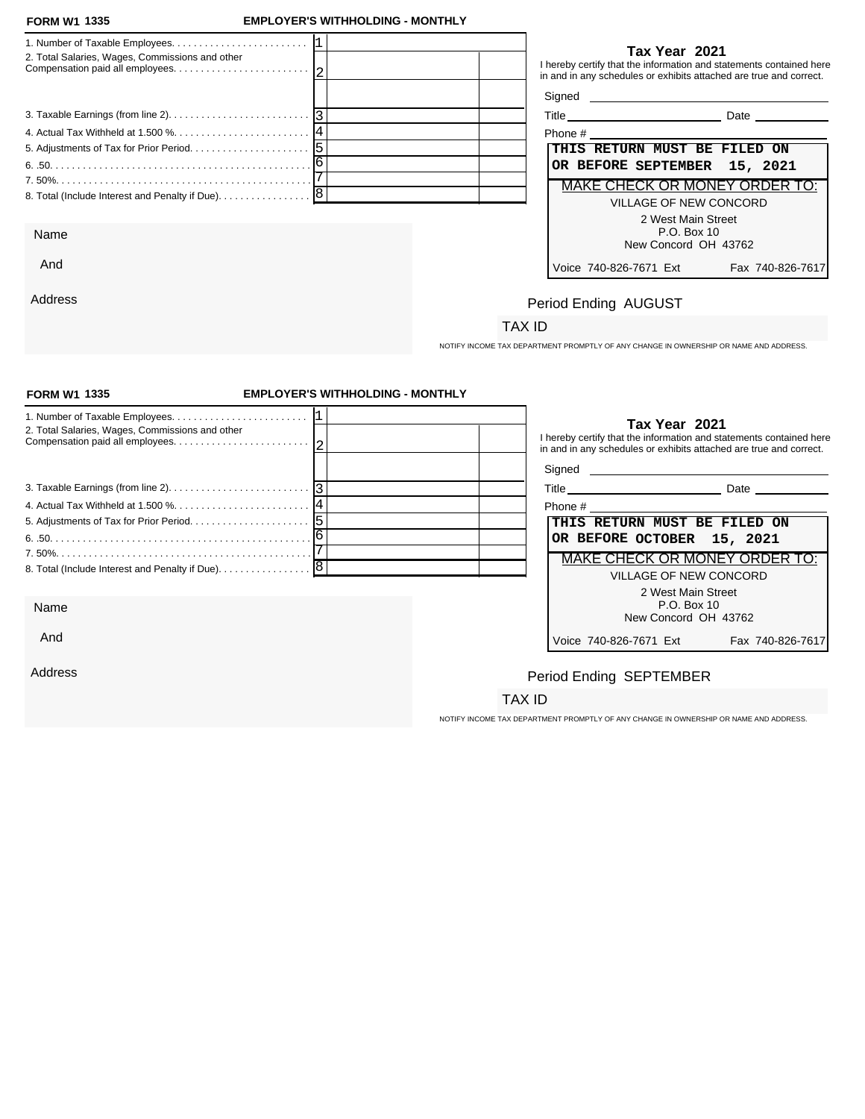And

Address

### **FORM W1 EMPLOYER'S WITHHOLDING - MONTHLY**

|                                                 | Tax Year 2021                                                                                                                             |
|-------------------------------------------------|-------------------------------------------------------------------------------------------------------------------------------------------|
| 2. Total Salaries, Wages, Commissions and other | I hereby certify that the information and statements contained here<br>in and in any schedules or exhibits attached are true and correct. |
|                                                 |                                                                                                                                           |
|                                                 | Title Date Date                                                                                                                           |
|                                                 |                                                                                                                                           |
|                                                 | THIS RETURN MUST BE FILED ON                                                                                                              |
|                                                 | OR BEFORE SEPTEMBER 15, 2021                                                                                                              |
|                                                 | MAKE CHECK OR MONEY ORDER TO:                                                                                                             |
|                                                 | VILLAGE OF NEW CONCORD                                                                                                                    |
|                                                 | 2 West Main Street                                                                                                                        |
| Name                                            | P.O. Box 10                                                                                                                               |
|                                                 | New Concord OH 43762                                                                                                                      |

| THIS RETURN MUST BE FILED ON  |
|-------------------------------|
|                               |
|                               |
| OR BEFORE SEPTEMBER 15, 2021  |
| MAKE CHECK OR MONEY ORDER TO: |
| VILLAGE OF NEW CONCORD        |
|                               |
|                               |
|                               |
| Fax 740-826-7617              |
|                               |

# Period Ending AUGUST

## TAX ID

NOTIFY INCOME TAX DEPARTMENT PROMPTLY OF ANY CHANGE IN OWNERSHIP OR NAME AND ADDRESS.

| <b>FORM W1 1335</b>                                                                                 | <b>EMPLOYER'S WITHHOLDING - MONTHLY</b> |                                                                                                                                                            |
|-----------------------------------------------------------------------------------------------------|-----------------------------------------|------------------------------------------------------------------------------------------------------------------------------------------------------------|
| 2. Total Salaries, Wages, Commissions and other                                                     |                                         | Tax Year 2021<br>I hereby certify that the information and statements contained here<br>in and in any schedules or exhibits attached are true and correct. |
| 3. Taxable Earnings (from line 2). $\ldots$ . $\ldots$ . $\ldots$ . $\ldots$ . $\ldots$ . $\vert$ 3 |                                         |                                                                                                                                                            |
|                                                                                                     |                                         | Phone # 2008 2009 2012 2022 2023 2024 2022 2023 2024 2022 2023 2024 2022 2023 2024 2022 2023 2024 2023 2024 20                                             |
|                                                                                                     |                                         | THIS RETURN MUST BE FILED ON                                                                                                                               |
|                                                                                                     |                                         | OR BEFORE OCTOBER 15, 2021                                                                                                                                 |
|                                                                                                     |                                         | MAKE CHECK OR MONEY ORDER TO:                                                                                                                              |
|                                                                                                     |                                         | <b>VILLAGE OF NEW CONCORD</b>                                                                                                                              |
|                                                                                                     |                                         | 2 West Main Street                                                                                                                                         |
| Name                                                                                                |                                         | P.O. Box 10<br>New Concord OH 43762                                                                                                                        |
| And                                                                                                 |                                         | Voice 740-826-7671 Ext<br>Fax 740-826-7617                                                                                                                 |
| Address                                                                                             |                                         | Period Ending SEPTEMBER                                                                                                                                    |
|                                                                                                     |                                         | TAX ID                                                                                                                                                     |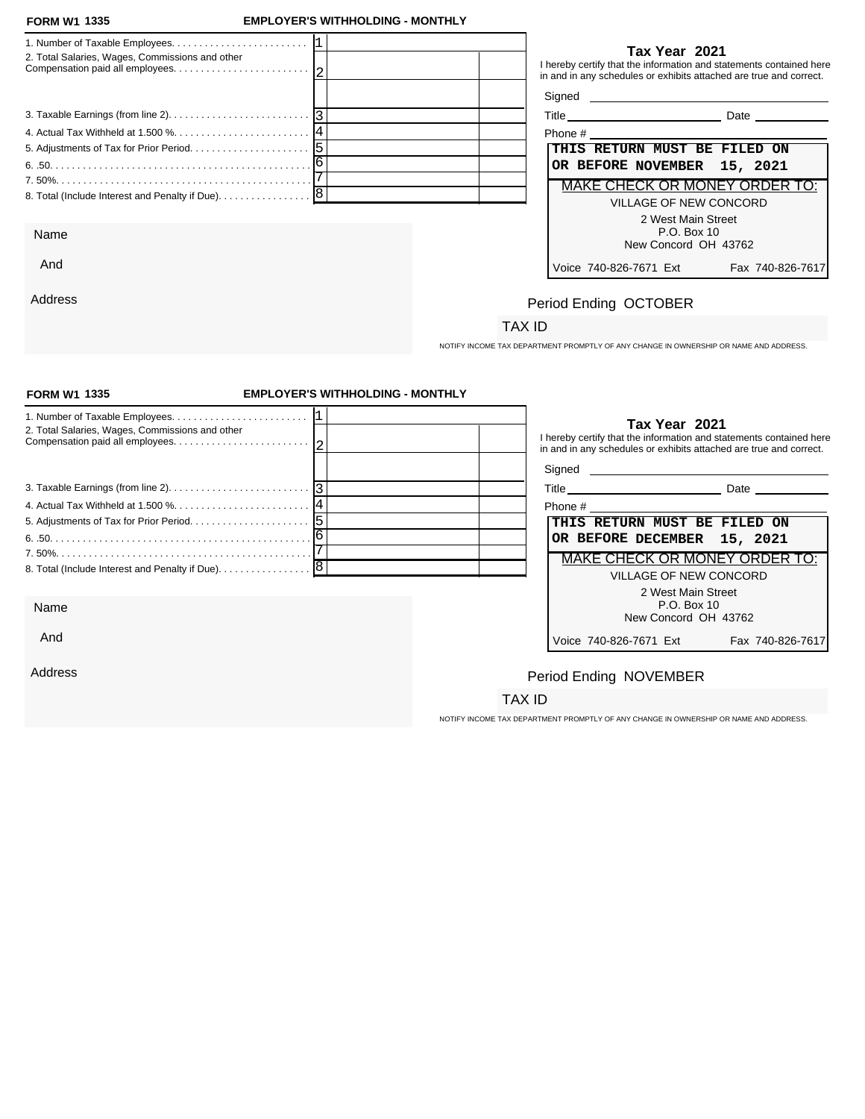And

Address

### **FORM W1 EMPLOYER'S WITHHOLDING - MONTHLY**

| 2. Total Salaries, Wages, Commissions and other   | Tax Year 2021<br>I hereby certify that the information and statements contained here<br>in and in any schedules or exhibits attached are true and correct. |
|---------------------------------------------------|------------------------------------------------------------------------------------------------------------------------------------------------------------|
|                                                   |                                                                                                                                                            |
|                                                   | <b>Date Date</b>                                                                                                                                           |
|                                                   | Phone # 2008 and 2008 and 2008 and 2008 and 2008 and 2008 and 2008 and 2008 and 2008 and 2008 and 2008 and 200                                             |
|                                                   | THIS RETURN MUST BE FILED ON                                                                                                                               |
|                                                   | OR BEFORE NOVEMBER 15, 2021                                                                                                                                |
|                                                   | MAKE CHECK OR MONEY ORDER TO:                                                                                                                              |
| 8. Total (Include Interest and Penalty if Due). 8 | VILLAGE OF NEW CONCORD                                                                                                                                     |
|                                                   | 2 West Main Street                                                                                                                                         |
| Name                                              | P.O. Box 10                                                                                                                                                |
|                                                   | New Concord OH 43762                                                                                                                                       |

| Phone #                       |                  |
|-------------------------------|------------------|
| THIS RETURN MUST BE FILED ON  |                  |
| OR BEFORE NOVEMBER 15, 2021   |                  |
| MAKE CHECK OR MONEY ORDER TO: |                  |
| VILLAGE OF NEW CONCORD        |                  |
| 2 West Main Street            |                  |
| P.O. Box 10                   |                  |
| New Concord OH 43762          |                  |
| Voice 740-826-7671 Ext        | Fax 740-826-7617 |

# Period Ending OCTOBER

## TAX ID

NOTIFY INCOME TAX DEPARTMENT PROMPTLY OF ANY CHANGE IN OWNERSHIP OR NAME AND ADDRESS.

| <b>FORM W1 1335</b>                                                                                 | <b>EMPLOYER'S WITHHOLDING - MONTHLY</b> |                                                                                                                |                                                                                                                                           |
|-----------------------------------------------------------------------------------------------------|-----------------------------------------|----------------------------------------------------------------------------------------------------------------|-------------------------------------------------------------------------------------------------------------------------------------------|
| 2. Total Salaries, Wages, Commissions and other                                                     |                                         | Tax Year 2021                                                                                                  | I hereby certify that the information and statements contained here<br>in and in any schedules or exhibits attached are true and correct. |
| 3. Taxable Earnings (from line 2). $\ldots$ . $\ldots$ . $\ldots$ . $\ldots$ . $\ldots$ . $\vert$ 3 |                                         |                                                                                                                |                                                                                                                                           |
|                                                                                                     |                                         | Phone # 2008 2009 2012 2022 2023 2024 2022 2023 2024 2022 2023 2024 2022 2023 2024 2022 2023 2024 2023 2024 20 |                                                                                                                                           |
|                                                                                                     |                                         | THIS RETURN MUST BE FILED ON                                                                                   |                                                                                                                                           |
|                                                                                                     |                                         | OR BEFORE DECEMBER 15, 2021                                                                                    |                                                                                                                                           |
|                                                                                                     |                                         |                                                                                                                | MAKE CHECK OR MONEY ORDER TO:                                                                                                             |
|                                                                                                     |                                         |                                                                                                                | VILLAGE OF NEW CONCORD                                                                                                                    |
|                                                                                                     |                                         |                                                                                                                | 2 West Main Street                                                                                                                        |
| Name                                                                                                |                                         |                                                                                                                | P.O. Box 10<br>New Concord OH 43762                                                                                                       |
| And                                                                                                 |                                         | Voice 740-826-7671 Ext                                                                                         | Fax 740-826-7617                                                                                                                          |
| Address                                                                                             |                                         | Period Ending NOVEMBER                                                                                         |                                                                                                                                           |
|                                                                                                     |                                         | TAX ID                                                                                                         |                                                                                                                                           |